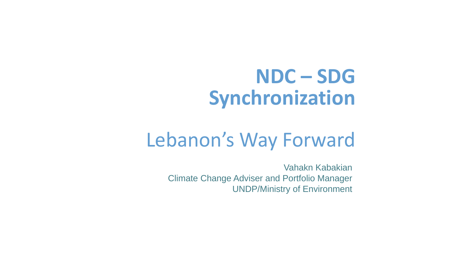# **NDC – SDG Synchronization**

# Lebanon's Way Forward

Vahakn Kabakian Climate Change Adviser and Portfolio Manager UNDP/Ministry of Environment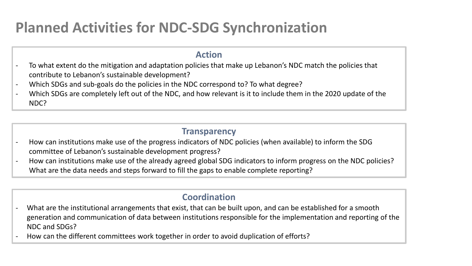## **Planned Activities for NDC-SDG Synchronization**

#### **Action**

- To what extent do the mitigation and adaptation policies that make up Lebanon's NDC match the policies that contribute to Lebanon's sustainable development?
- Which SDGs and sub-goals do the policies in the NDC correspond to? To what degree?
- Which SDGs are completely left out of the NDC, and how relevant is it to include them in the 2020 update of the NDC?

#### **Transparency**

- How can institutions make use of the progress indicators of NDC policies (when available) to inform the SDG committee of Lebanon's sustainable development progress?
- How can institutions make use of the already agreed global SDG indicators to inform progress on the NDC policies? What are the data needs and steps forward to fill the gaps to enable complete reporting?

#### **Coordination**

- What are the institutional arrangements that exist, that can be built upon, and can be established for a smooth generation and communication of data between institutions responsible for the implementation and reporting of the NDC and SDGs?
- How can the different committees work together in order to avoid duplication of efforts?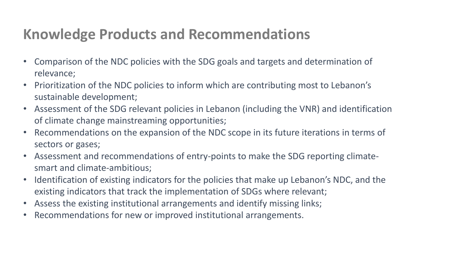## **Knowledge Products and Recommendations**

- Comparison of the NDC policies with the SDG goals and targets and determination of relevance;
- Prioritization of the NDC policies to inform which are contributing most to Lebanon's sustainable development;
- Assessment of the SDG relevant policies in Lebanon (including the VNR) and identification of climate change mainstreaming opportunities;
- Recommendations on the expansion of the NDC scope in its future iterations in terms of sectors or gases;
- Assessment and recommendations of entry-points to make the SDG reporting climatesmart and climate-ambitious;
- Identification of existing indicators for the policies that make up Lebanon's NDC, and the existing indicators that track the implementation of SDGs where relevant;
- Assess the existing institutional arrangements and identify missing links;
- Recommendations for new or improved institutional arrangements.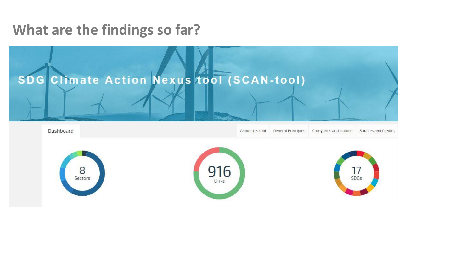### **What are the findings so far?**

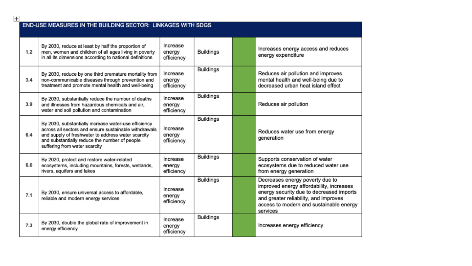| <b>END-USE MEASURES IN THE BUILDING SECTOR: LINKAGES WITH SDGS</b> |                                                                                                                                                                                                                                                       |                                  |                  |  |                                                                                                                                                                                                                         |
|--------------------------------------------------------------------|-------------------------------------------------------------------------------------------------------------------------------------------------------------------------------------------------------------------------------------------------------|----------------------------------|------------------|--|-------------------------------------------------------------------------------------------------------------------------------------------------------------------------------------------------------------------------|
| 1.2                                                                | By 2030, reduce at least by half the proportion of<br>men, women and children of all ages living in poverty<br>in all its dimensions according to national definitions                                                                                | Increase<br>energy<br>efficiency | <b>Buildings</b> |  | Increases energy access and reduces<br>energy expenditure                                                                                                                                                               |
| 3.4                                                                | By 2030, reduce by one third premature mortality from<br>non-communicable diseases through prevention and<br>treatment and promote mental health and well-being                                                                                       | Increase<br>energy<br>efficiency | <b>Buildings</b> |  | Reduces air pollution and improves<br>mental health and well-being due to<br>decreased urban heat island effect                                                                                                         |
| 3.9                                                                | By 2030, substantially reduce the number of deaths<br>and illnesses from hazardous chemicals and air,<br>water and soil pollution and contamination                                                                                                   | Increase<br>energy<br>efficiency | <b>Buildings</b> |  | Reduces air pollution                                                                                                                                                                                                   |
| 6.4                                                                | By 2030, substantially increase water-use efficiency<br>across all sectors and ensure sustainable withdrawals<br>and supply of freshwater to address water scarcity<br>and substantially reduce the number of people<br>suffering from water scarcity | Increase<br>energy<br>efficiency | <b>Buildings</b> |  | Reduces water use from energy<br>generation                                                                                                                                                                             |
| 6.6                                                                | By 2020, protect and restore water-related<br>ecosystems, including mountains, forests, wetlands,<br>rivers, aquifers and lakes                                                                                                                       | Increase<br>energy<br>efficiency | <b>Buildings</b> |  | Supports conservation of water<br>ecosystems due to reduced water use<br>from energy generation                                                                                                                         |
| 7.1                                                                | By 2030, ensure universal access to affordable,<br>reliable and modern energy services                                                                                                                                                                | Increase<br>energy<br>efficiency | <b>Buildings</b> |  | Decreases energy poverty due to<br>improved energy affordability, increases<br>energy security due to decreased imports<br>and greater reliability, and improves<br>access to modern and sustainable energy<br>services |
| 7.3                                                                | By 2030, double the global rate of improvement in<br>energy efficiency                                                                                                                                                                                | Increase<br>energy<br>efficiency | <b>Buildings</b> |  | Increases energy efficiency                                                                                                                                                                                             |

 $\overline{+}$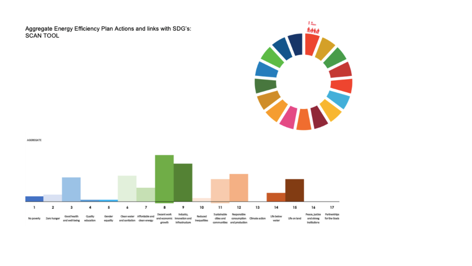Aggregate Energy Efficiency Plan Actions and links with SDG's: **SCAN TOOL** 



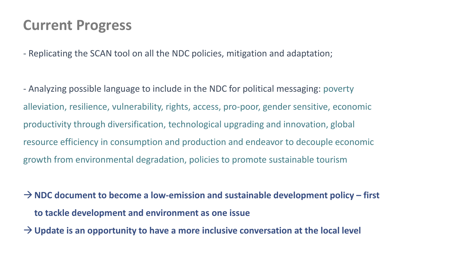### **Current Progress**

- Replicating the SCAN tool on all the NDC policies, mitigation and adaptation;

- Analyzing possible language to include in the NDC for political messaging: poverty alleviation, resilience, vulnerability, rights, access, pro-poor, gender sensitive, economic productivity through diversification, technological upgrading and innovation, global resource efficiency in consumption and production and endeavor to decouple economic growth from environmental degradation, policies to promote sustainable tourism

→**NDC document to become a low-emission and sustainable development policy – first to tackle development and environment as one issue**

→**Update is an opportunity to have a more inclusive conversation at the local level**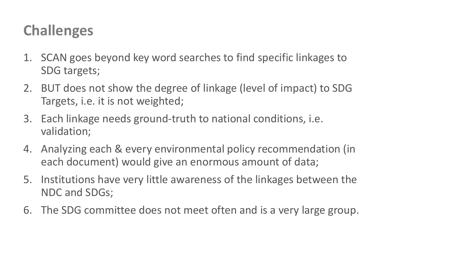### **Challenges**

- 1. SCAN goes beyond key word searches to find specific linkages to SDG targets;
- 2. BUT does not show the degree of linkage (level of impact) to SDG Targets, i.e. it is not weighted;
- 3. Each linkage needs ground-truth to national conditions, i.e. validation;
- 4. Analyzing each & every environmental policy recommendation (in each document) would give an enormous amount of data;
- 5. Institutions have very little awareness of the linkages between the NDC and SDGs;
- 6. The SDG committee does not meet often and is a very large group.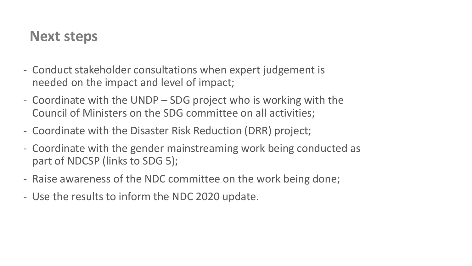### **Next steps**

- Conduct stakeholder consultations when expert judgement is needed on the impact and level of impact;
- Coordinate with the UNDP SDG project who is working with the Council of Ministers on the SDG committee on all activities;
- Coordinate with the Disaster Risk Reduction (DRR) project;
- Coordinate with the gender mainstreaming work being conducted as part of NDCSP (links to SDG 5);
- Raise awareness of the NDC committee on the work being done;
- Use the results to inform the NDC 2020 update.